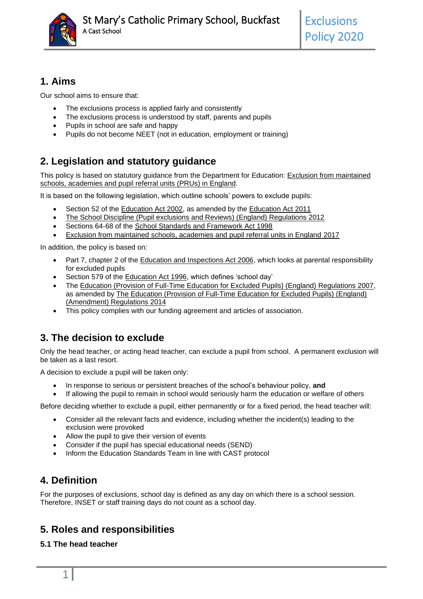

# **1. Aims**

Our school aims to ensure that:

- The exclusions process is applied fairly and consistently
- The exclusions process is understood by staff, parents and pupils
- Pupils in school are safe and happy
- Pupils do not become NEET (not in education, employment or training)

# **2. Legislation and statutory guidance**

This policy is based on statutory guidance from the Department for Education: [Exclusion from maintained](https://www.gov.uk/government/publications/school-exclusion)  [schools, academies and pupil referral units \(PRUs\) in England.](https://www.gov.uk/government/publications/school-exclusion)

It is based on the following legislation, which outline schools' powers to exclude pupils:

- Section 52 of the [Education Act 2002,](http://www.legislation.gov.uk/ukpga/2002/32/section/52) as amended by the [Education Act 2011](http://www.legislation.gov.uk/ukpga/2011/21/contents/enacted)
- [The School Discipline \(Pupil exclusions and Reviews\) \(England\) Regulations 2012](http://www.legislation.gov.uk/uksi/2012/1033/made)
- Sections 64-68 of the [School Standards and Framework Act 1998](http://www.legislation.gov.uk/ukpga/1998/31)
- Exclusion from maintained schools, academies and pupil referral units in England 2017

In addition, the policy is based on:

- Part 7, chapter 2 of the **Education and Inspections Act 2006**, which looks at parental responsibility for excluded pupils
- Section 579 of the [Education Act 1996,](http://www.legislation.gov.uk/ukpga/1996/56/section/579) which defines 'school day'
- The [Education \(Provision of Full-Time Education for Excluded Pupils\) \(England\) Regulations 2007,](http://www.legislation.gov.uk/uksi/2007/1870/contents/made) as amended by The Education (Provision [of Full-Time Education for Excluded Pupils\) \(England\)](http://www.legislation.gov.uk/uksi/2014/3216/contents/made)  [\(Amendment\) Regulations 2014](http://www.legislation.gov.uk/uksi/2014/3216/contents/made)
- This policy complies with our funding agreement and articles of association.

# **3. The decision to exclude**

Only the head teacher, or acting head teacher, can exclude a pupil from school. A permanent exclusion will be taken as a last resort.

A decision to exclude a pupil will be taken only:

- In response to serious or persistent breaches of the school's behaviour policy, **and**
- If allowing the pupil to remain in school would seriously harm the education or welfare of others

Before deciding whether to exclude a pupil, either permanently or for a fixed period, the head teacher will:

- Consider all the relevant facts and evidence, including whether the incident(s) leading to the exclusion were provoked
- Allow the pupil to give their version of events
- Consider if the pupil has special educational needs (SEND)
- Inform the Education Standards Team in line with CAST protocol

# **4. Definition**

For the purposes of exclusions, school day is defined as any day on which there is a school session. Therefore, INSET or staff training days do not count as a school day.

### **5. Roles and responsibilities**

### **5.1 The head teacher**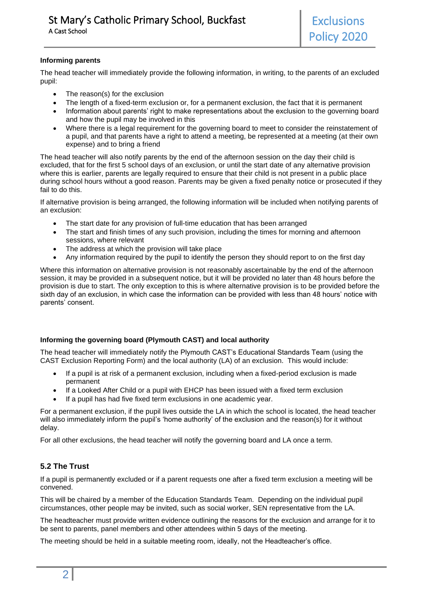#### **Informing parents**

The head teacher will immediately provide the following information, in writing, to the parents of an excluded pupil:

- The reason(s) for the exclusion
- The length of a fixed-term exclusion or, for a permanent exclusion, the fact that it is permanent
- Information about parents' right to make representations about the exclusion to the governing board and how the pupil may be involved in this
- Where there is a legal requirement for the governing board to meet to consider the reinstatement of a pupil, and that parents have a right to attend a meeting, be represented at a meeting (at their own expense) and to bring a friend

The head teacher will also notify parents by the end of the afternoon session on the day their child is excluded, that for the first 5 school days of an exclusion, or until the start date of any alternative provision where this is earlier, parents are legally required to ensure that their child is not present in a public place during school hours without a good reason. Parents may be given a fixed penalty notice or prosecuted if they fail to do this.

If alternative provision is being arranged, the following information will be included when notifying parents of an exclusion:

- The start date for any provision of full-time education that has been arranged
- The start and finish times of any such provision, including the times for morning and afternoon sessions, where relevant
- The address at which the provision will take place
- Any information required by the pupil to identify the person they should report to on the first day

Where this information on alternative provision is not reasonably ascertainable by the end of the afternoon session, it may be provided in a subsequent notice, but it will be provided no later than 48 hours before the provision is due to start. The only exception to this is where alternative provision is to be provided before the sixth day of an exclusion, in which case the information can be provided with less than 48 hours' notice with parents' consent.

#### **Informing the governing board (Plymouth CAST) and local authority**

The head teacher will immediately notify the Plymouth CAST's Educational Standards Team (using the CAST Exclusion Reporting Form) and the local authority (LA) of an exclusion. This would include:

- If a pupil is at risk of a permanent exclusion, including when a fixed-period exclusion is made permanent
- If a Looked After Child or a pupil with EHCP has been issued with a fixed term exclusion
- If a pupil has had five fixed term exclusions in one academic year.

For a permanent exclusion, if the pupil lives outside the LA in which the school is located, the head teacher will also immediately inform the pupil's 'home authority' of the exclusion and the reason(s) for it without delay.

For all other exclusions, the head teacher will notify the governing board and LA once a term.

### **5.2 The Trust**

If a pupil is permanently excluded or if a parent requests one after a fixed term exclusion a meeting will be convened.

This will be chaired by a member of the Education Standards Team. Depending on the individual pupil circumstances, other people may be invited, such as social worker, SEN representative from the LA.

The headteacher must provide written evidence outlining the reasons for the exclusion and arrange for it to be sent to parents, panel members and other attendees within 5 days of the meeting.

The meeting should be held in a suitable meeting room, ideally, not the Headteacher's office.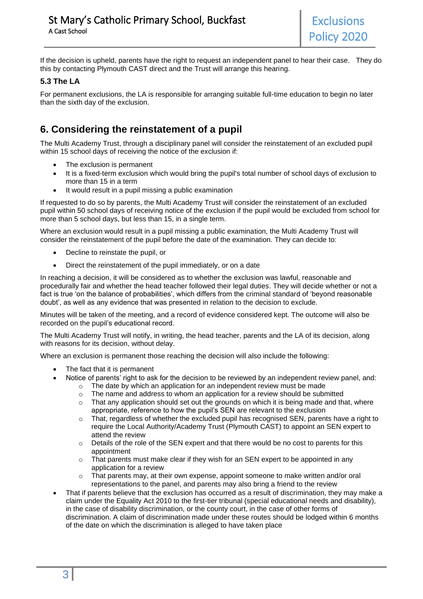If the decision is upheld, parents have the right to request an independent panel to hear their case. They do this by contacting Plymouth CAST direct and the Trust will arrange this hearing.

### **5.3 The LA**

For permanent exclusions, the LA is responsible for arranging suitable full-time education to begin no later than the sixth day of the exclusion.

## **6. Considering the reinstatement of a pupil**

The Multi Academy Trust, through a disciplinary panel will consider the reinstatement of an excluded pupil within 15 school days of receiving the notice of the exclusion if:

- The exclusion is permanent
- It is a fixed-term exclusion which would bring the pupil's total number of school days of exclusion to more than 15 in a term
- It would result in a pupil missing a public examination

If requested to do so by parents, the Multi Academy Trust will consider the reinstatement of an excluded pupil within 50 school days of receiving notice of the exclusion if the pupil would be excluded from school for more than 5 school days, but less than 15, in a single term.

Where an exclusion would result in a pupil missing a public examination, the Multi Academy Trust will consider the reinstatement of the pupil before the date of the examination. They can decide to:

- Decline to reinstate the pupil, or
- Direct the reinstatement of the pupil immediately, or on a date

In reaching a decision, it will be considered as to whether the exclusion was lawful, reasonable and procedurally fair and whether the head teacher followed their legal duties. They will decide whether or not a fact is true 'on the balance of probabilities', which differs from the criminal standard of 'beyond reasonable doubt', as well as any evidence that was presented in relation to the decision to exclude.

Minutes will be taken of the meeting, and a record of evidence considered kept. The outcome will also be recorded on the pupil's educational record.

The Multi Academy Trust will notify, in writing, the head teacher, parents and the LA of its decision, along with reasons for its decision, without delay.

Where an exclusion is permanent those reaching the decision will also include the following:

- The fact that it is permanent
- Notice of parents' right to ask for the decision to be reviewed by an independent review panel, and:
	- $\circ$  The date by which an application for an independent review must be made
	- $\circ$  The name and address to whom an application for a review should be submitted
	- $\circ$  That any application should set out the grounds on which it is being made and that, where appropriate, reference to how the pupil's SEN are relevant to the exclusion
	- $\circ$  That, regardless of whether the excluded pupil has recognised SEN, parents have a right to require the Local Authority/Academy Trust (Plymouth CAST) to appoint an SEN expert to attend the review
	- $\circ$  Details of the role of the SEN expert and that there would be no cost to parents for this appointment
	- o That parents must make clear if they wish for an SEN expert to be appointed in any application for a review
	- o That parents may, at their own expense, appoint someone to make written and/or oral representations to the panel, and parents may also bring a friend to the review
- That if parents believe that the exclusion has occurred as a result of discrimination, they may make a claim under the Equality Act 2010 to the first-tier tribunal (special educational needs and disability), in the case of disability discrimination, or the county court, in the case of other forms of discrimination. A claim of discrimination made under these routes should be lodged within 6 months of the date on which the discrimination is alleged to have taken place